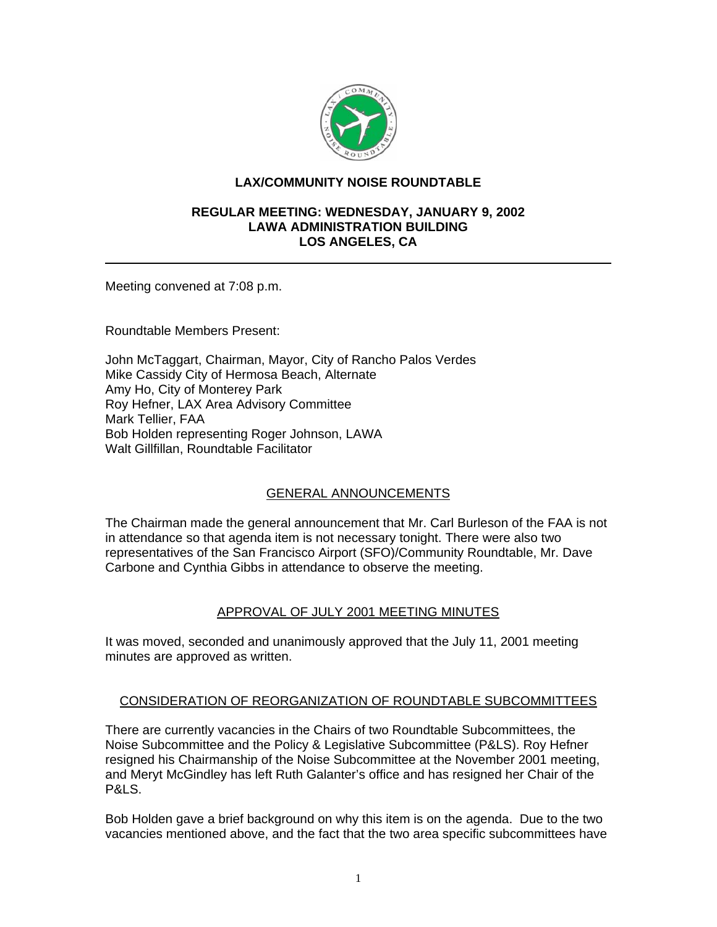

## **LAX/COMMUNITY NOISE ROUNDTABLE**

#### **REGULAR MEETING: WEDNESDAY, JANUARY 9, 2002 LAWA ADMINISTRATION BUILDING LOS ANGELES, CA**

Meeting convened at 7:08 p.m.

Roundtable Members Present:

John McTaggart, Chairman, Mayor, City of Rancho Palos Verdes Mike Cassidy City of Hermosa Beach, Alternate Amy Ho, City of Monterey Park Roy Hefner, LAX Area Advisory Committee Mark Tellier, FAA Bob Holden representing Roger Johnson, LAWA Walt Gillfillan, Roundtable Facilitator

### GENERAL ANNOUNCEMENTS

The Chairman made the general announcement that Mr. Carl Burleson of the FAA is not in attendance so that agenda item is not necessary tonight. There were also two representatives of the San Francisco Airport (SFO)/Community Roundtable, Mr. Dave Carbone and Cynthia Gibbs in attendance to observe the meeting.

### APPROVAL OF JULY 2001 MEETING MINUTES

It was moved, seconded and unanimously approved that the July 11, 2001 meeting minutes are approved as written.

### CONSIDERATION OF REORGANIZATION OF ROUNDTABLE SUBCOMMITTEES

There are currently vacancies in the Chairs of two Roundtable Subcommittees, the Noise Subcommittee and the Policy & Legislative Subcommittee (P&LS). Roy Hefner resigned his Chairmanship of the Noise Subcommittee at the November 2001 meeting, and Meryt McGindley has left Ruth Galanter's office and has resigned her Chair of the P&LS.

Bob Holden gave a brief background on why this item is on the agenda. Due to the two vacancies mentioned above, and the fact that the two area specific subcommittees have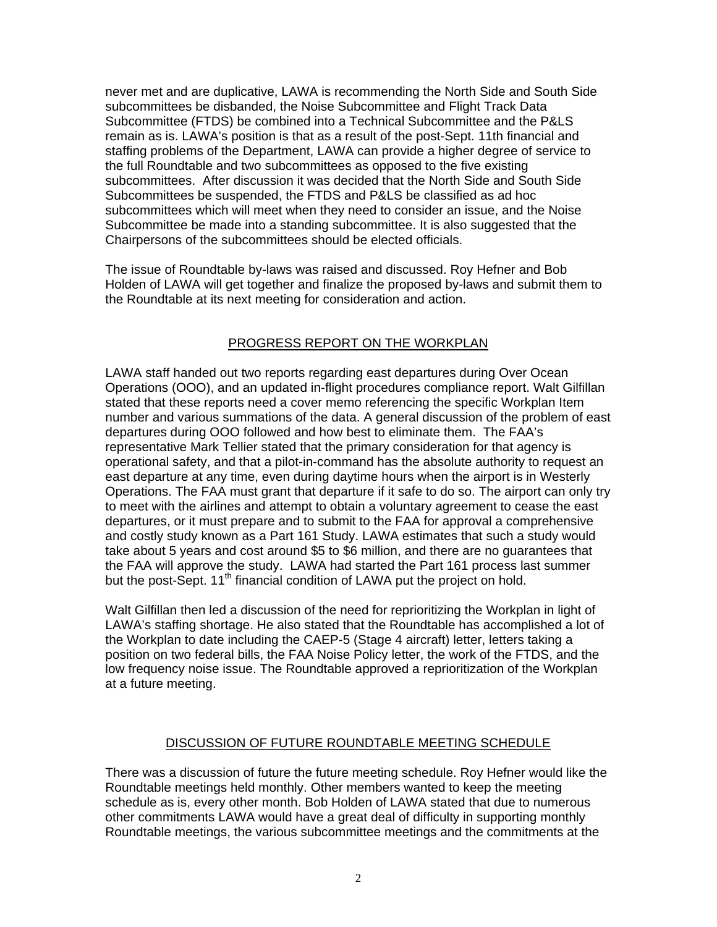never met and are duplicative, LAWA is recommending the North Side and South Side subcommittees be disbanded, the Noise Subcommittee and Flight Track Data Subcommittee (FTDS) be combined into a Technical Subcommittee and the P&LS remain as is. LAWA's position is that as a result of the post-Sept. 11th financial and staffing problems of the Department, LAWA can provide a higher degree of service to the full Roundtable and two subcommittees as opposed to the five existing subcommittees. After discussion it was decided that the North Side and South Side Subcommittees be suspended, the FTDS and P&LS be classified as ad hoc subcommittees which will meet when they need to consider an issue, and the Noise Subcommittee be made into a standing subcommittee. It is also suggested that the Chairpersons of the subcommittees should be elected officials.

The issue of Roundtable by-laws was raised and discussed. Roy Hefner and Bob Holden of LAWA will get together and finalize the proposed by-laws and submit them to the Roundtable at its next meeting for consideration and action.

# PROGRESS REPORT ON THE WORKPLAN

LAWA staff handed out two reports regarding east departures during Over Ocean Operations (OOO), and an updated in-flight procedures compliance report. Walt Gilfillan stated that these reports need a cover memo referencing the specific Workplan Item number and various summations of the data. A general discussion of the problem of east departures during OOO followed and how best to eliminate them. The FAA's representative Mark Tellier stated that the primary consideration for that agency is operational safety, and that a pilot-in-command has the absolute authority to request an east departure at any time, even during daytime hours when the airport is in Westerly Operations. The FAA must grant that departure if it safe to do so. The airport can only try to meet with the airlines and attempt to obtain a voluntary agreement to cease the east departures, or it must prepare and to submit to the FAA for approval a comprehensive and costly study known as a Part 161 Study. LAWA estimates that such a study would take about 5 years and cost around \$5 to \$6 million, and there are no guarantees that the FAA will approve the study. LAWA had started the Part 161 process last summer but the post-Sept. 11<sup>th</sup> financial condition of LAWA put the project on hold.

Walt Gilfillan then led a discussion of the need for reprioritizing the Workplan in light of LAWA's staffing shortage. He also stated that the Roundtable has accomplished a lot of the Workplan to date including the CAEP-5 (Stage 4 aircraft) letter, letters taking a position on two federal bills, the FAA Noise Policy letter, the work of the FTDS, and the low frequency noise issue. The Roundtable approved a reprioritization of the Workplan at a future meeting.

### DISCUSSION OF FUTURE ROUNDTABLE MEETING SCHEDULE

There was a discussion of future the future meeting schedule. Roy Hefner would like the Roundtable meetings held monthly. Other members wanted to keep the meeting schedule as is, every other month. Bob Holden of LAWA stated that due to numerous other commitments LAWA would have a great deal of difficulty in supporting monthly Roundtable meetings, the various subcommittee meetings and the commitments at the